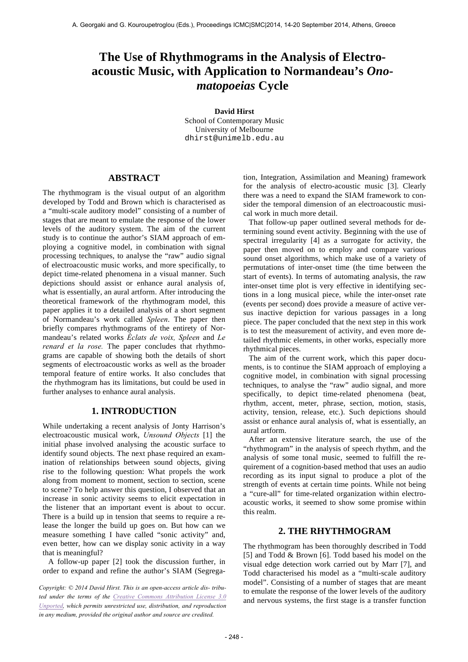# **The Use of Rhythmograms in the Analysis of Electroacoustic Music, with Application to Normandeau's** *Onomatopoeias* **Cycle**

**David Hirst**

School of Contemporary Music University of Melbourne dhirst@unimelb.edu.au

## **ABSTRACT**

The rhythmogram is the visual output of an algorithm developed by Todd and Brown which is characterised as a "multi-scale auditory model" consisting of a number of stages that are meant to emulate the response of the lower levels of the auditory system. The aim of the current study is to continue the author's SIAM approach of employing a cognitive model, in combination with signal processing techniques, to analyse the "raw" audio signal of electroacoustic music works, and more specifically, to depict time-related phenomena in a visual manner. Such depictions should assist or enhance aural analysis of, what is essentially, an aural artform. After introducing the theoretical framework of the rhythmogram model, this paper applies it to a detailed analysis of a short segment of Normandeau's work called *Spleen*. The paper then briefly compares rhythmograms of the entirety of Normandeau's related works *Éclats de voix, Spleen* and *Le renard et la rose.* The paper concludes that rhythmograms are capable of showing both the details of short segments of electroacoustic works as well as the broader temporal feature of entire works. It also concludes that the rhythmogram has its limitations, but could be used in further analyses to enhance aural analysis.

## **1. INTRODUCTION**

While undertaking a recent analysis of Jonty Harrison's electroacoustic musical work, *Unsound Objects* [1] the initial phase involved analysing the acoustic surface to identify sound objects. The next phase required an examination of relationships between sound objects, giving rise to the following question: What propels the work along from moment to moment, section to section, scene to scene? To help answer this question, I observed that an increase in sonic activity seems to elicit expectation in the listener that an important event is about to occur. There is a build up in tension that seems to require a release the longer the build up goes on. But how can we measure something I have called "sonic activity" and, even better, how can we display sonic activity in a way that is meaningful?

A follow-up paper [2] took the discussion further, in order to expand and refine the author's SIAM (Segrega-

*Copyright: © 2014 David Hirst. This is an open-access article dis- tributed under the terms of the Creative Commons Attribution License 3.0 Unported, which permits unrestricted use, distribution, and reproduction in any medium, provided the original author and source are credited.*

tion, Integration, Assimilation and Meaning) framework for the analysis of electro-acoustic music [3]. Clearly there was a need to expand the SIAM framework to consider the temporal dimension of an electroacoustic musical work in much more detail.

That follow-up paper outlined several methods for determining sound event activity. Beginning with the use of spectral irregularity [4] as a surrogate for activity, the paper then moved on to employ and compare various sound onset algorithms, which make use of a variety of permutations of inter-onset time (the time between the start of events). In terms of automating analysis, the raw inter-onset time plot is very effective in identifying sections in a long musical piece, while the inter-onset rate (events per second) does provide a measure of active versus inactive depiction for various passages in a long piece. The paper concluded that the next step in this work is to test the measurement of activity, and even more detailed rhythmic elements, in other works, especially more rhythmical pieces.

The aim of the current work, which this paper documents, is to continue the SIAM approach of employing a cognitive model, in combination with signal processing techniques, to analyse the "raw" audio signal, and more specifically, to depict time-related phenomena (beat, rhythm, accent, meter, phrase, section, motion, stasis, activity, tension, release, etc.). Such depictions should assist or enhance aural analysis of, what is essentially, an aural artform.

After an extensive literature search, the use of the "rhythmogram" in the analysis of speech rhythm, and the analysis of some tonal music, seemed to fulfill the requirement of a cognition-based method that uses an audio recording as its input signal to produce a plot of the strength of events at certain time points. While not being a "cure-all" for time-related organization within electroacoustic works, it seemed to show some promise within this realm.

# **2. THE RHYTHMOGRAM**

The rhythmogram has been thoroughly described in Todd [5] and Todd & Brown [6]. Todd based his model on the visual edge detection work carried out by Marr [7], and Todd characterised his model as a "multi-scale auditory model". Consisting of a number of stages that are meant to emulate the response of the lower levels of the auditory and nervous systems, the first stage is a transfer function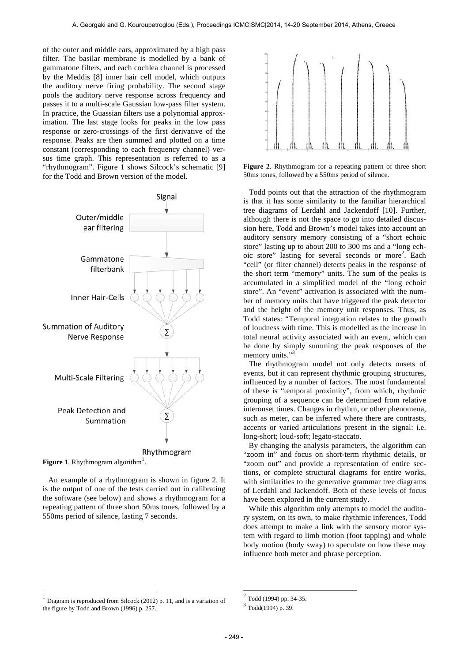of the outer and middle ears, approximated by a high pass filter. The basilar membrane is modelled by a bank of gammatone filters, and each cochlea channel is processed by the Meddis [8] inner hair cell model, which outputs the auditory nerve firing probability. The second stage pools the auditory nerve response across frequency and passes it to a multi-scale Gaussian low-pass filter system. In practice, the Guassian filters use a polynomial approximation. The last stage looks for peaks in the low pass response or zero-crossings of the first derivative of the response. Peaks are then summed and plotted on a time constant (corresponding to each frequency channel) versus time graph. This representation is referred to as a "rhythmogram". Figure 1 shows Silcock's schematic [9] for the Todd and Brown version of the model.



**Figure 1.** Rhythmogram algorithm<sup>1</sup>.

l

An example of a rhythmogram is shown in figure 2. It is the output of one of the tests carried out in calibrating the software (see below) and shows a rhythmogram for a repeating pattern of three short 50ms tones, followed by a 550ms period of silence, lasting 7 seconds.



**Figure 2**. Rhythmogram for a repeating pattern of three short 50ms tones, followed by a 550ms period of silence.

Todd points out that the attraction of the rhythmogram is that it has some similarity to the familiar hierarchical tree diagrams of Lerdahl and Jackendoff [10]. Further, although there is not the space to go into detailed discussion here, Todd and Brown's model takes into account an auditory sensory memory consisting of a "short echoic store" lasting up to about 200 to 300 ms and a "long echoic store" lasting for several seconds or more<sup>2</sup>. Each "cell" (or filter channel) detects peaks in the response of the short term "memory" units. The sum of the peaks is accumulated in a simplified model of the "long echoic store". An "event" activation is associated with the number of memory units that have triggered the peak detector and the height of the memory unit responses. Thus, as Todd states: "Temporal integration relates to the growth of loudness with time. This is modelled as the increase in total neural activity associated with an event, which can be done by simply summing the peak responses of the memory units."<sup>3</sup>

The rhythmogram model not only detects onsets of events, but it can represent rhythmic grouping structures, influenced by a number of factors. The most fundamental of these is "temporal proximity", from which, rhythmic grouping of a sequence can be determined from relative interonset times. Changes in rhythm, or other phenomena, such as meter, can be inferred where there are contrasts, accents or varied articulations present in the signal: i.e. long-short; loud-soft; legato-staccato.

By changing the analysis parameters, the algorithm can "zoom in" and focus on short-term rhythmic details, or "zoom out" and provide a representation of entire sections, or complete structural diagrams for entire works, with similarities to the generative grammar tree diagrams of Lerdahl and Jackendoff. Both of these levels of focus have been explored in the current study.

While this algorithm only attempts to model the auditory system, on its own, to make rhythmic inferences, Todd does attempt to make a link with the sensory motor system with regard to limb motion (foot tapping) and whole body motion (body sway) to speculate on how these may influence both meter and phrase perception.

 $\overline{a}$ 

 $<sup>1</sup>$  Diagram is reproduced from Silcock (2012) p. 11, and is a variation of</sup> the figure by Todd and Brown (1996) p. 257.

<sup>2</sup> Todd (1994) pp. 34-35.

 $3$  Todd(1994) p. 39.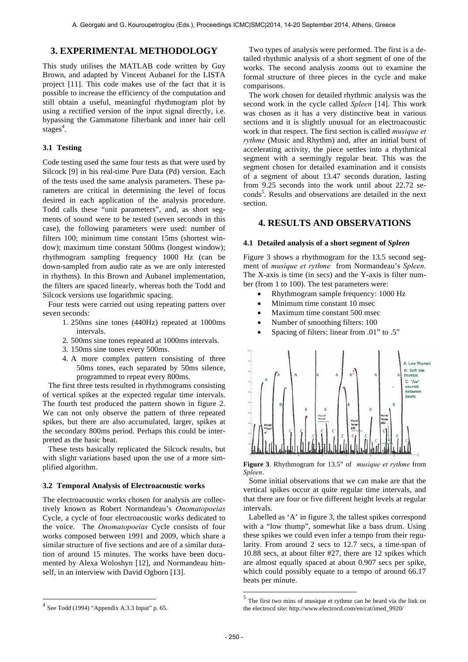## **3. EXPERIMENTAL METHODOLOGY**

This study utilises the MATLAB code written by Guy Brown, and adapted by Vincent Aubanel for the LISTA project [11]. This code makes use of the fact that it is possible to increase the efficiency of the computation and still obtain a useful, meaningful rhythmogram plot by using a rectified version of the input signal directly, i.e. bypassing the Gammatone filterbank and inner hair cell stages<sup>4</sup>.

#### **3.1 Testing**

Code testing used the same four tests as that were used by Silcock [9] in his real-time Pure Data (Pd) version. Each of the tests used the same analysis parameters. These parameters are critical in determining the level of focus desired in each application of the analysis procedure. Todd calls these "unit parameters", and, as short segments of sound were to be tested (seven seconds in this case), the following parameters were used: number of filters 100; minimum time constant 15ms (shortest window); maximum time constant 500ms (longest window); rhythmogram sampling frequency 1000 Hz (can be down-sampled from audio rate as we are only interested in rhythms). In this Brown and Aubanel implementation, the filters are spaced linearly, whereas both the Todd and Silcock versions use logarithmic spacing.

Four tests were carried out using repeating patters over seven seconds:

- 1. 250ms sine tones (440Hz) repeated at 1000ms intervals.
- 2. 500ms sine tones repeated at 1000ms intervals.
- 3. 150ms sine tones every 500ms.
- 4. A more complex pattern consisting of three 50ms tones, each separated by 50ms silence, programmed to repeat every 800ms.

The first three tests resulted in rhythmograms consisting of vertical spikes at the expected regular time intervals. The fourth test produced the pattern shown in figure 2. We can not only observe the pattern of three repeated spikes, but there are also accumulated, larger, spikes at the secondary 800ms period. Perhaps this could be interpreted as the basic beat.

These tests basically replicated the Silcock results, but with slight variations based upon the use of a more simplified algorithm.

#### **3.2 Temporal Analysis of Electroacoustic works**

The electroacoustic works chosen for analysis are collectively known as Robert Normandeau's *Onomatopoeias* Cycle, a cycle of four electroacoustic works dedicated to the voice. The *Onomatopoeias* Cycle consists of four works composed between 1991 and 2009, which share a similar structure of five sections and are of a similar duration of around 15 minutes. The works have been documented by Alexa Woloshyn [12], and Normandeau himself, in an interview with David Ogborn [13].

Two types of analysis were performed. The first is a detailed rhythmic analysis of a short segment of one of the works. The second analysis zooms out to examine the formal structure of three pieces in the cycle and make comparisons.

The work chosen for detailed rhythmic analysis was the second work in the cycle called *Spleen* [14]. This work was chosen as it has a very distinctive beat in various sections and it is slightly unusual for an electroacoustic work in that respect. The first section is called *musique et rythme* (Music and Rhythm) and, after an initial burst of accelerating activity, the piece settles into a rhythmical segment with a seemingly regular beat. This was the segment chosen for detailed examination and it consists of a segment of about 13.47 seconds duration, lasting from 9.25 seconds into the work until about 22.72 seconds<sup>5</sup>. Results and observations are detailed in the next section.

## **4. RESULTS AND OBSERVATIONS**

#### **4.1 Detailed analysis of a short segment of** *Spleen*

Figure 3 shows a rhythmogram for the 13.5 second segment of *musique et rythme* from Normandeau's *Spleen*. The X-axis is time (in secs) and the Y-axis is filter number (from 1 to 100). The test parameters were:

- Rhythmogram sample frequency: 1000 Hz
- Minimum time constant 10 msec
- Maximum time constant 500 msec
- Number of smoothing filters: 100
- Spacing of filters: linear from .01" to .5"



**Figure 3**. Rhythmogram for 13.5" of *musique et rythme* from *Spleen*.

Some initial observations that we can make are that the vertical spikes occur at quite regular time intervals, and that there are four or five different height levels at regular intervals.

Labelled as 'A' in figure 3, the tallest spikes correspond with a "low thump", somewhat like a bass drum. Using these spikes we could even infer a tempo from their regularity. From around 2 secs to 12.7 secs, a time-span of 10.88 secs, at about filter #27, there are 12 spikes which are almost equally spaced at about 0.907 secs per spike, which could possibly equate to a tempo of around 66.17 beats per minute.

l

 $\overline{a}$ 

 $4$  See Todd (1994) "Appendix A.3.3 Input" p. 65.

 $5$  The first two mins of musique et rythme can be heard via the link on the electrocd site: http://www.electrocd.com/en/cat/imed\_9920/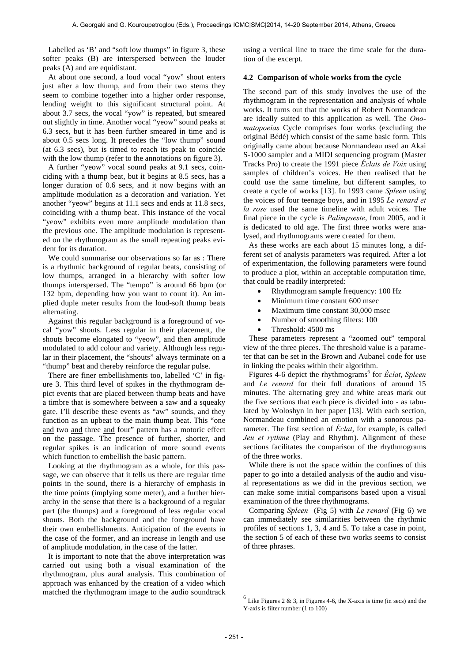Labelled as 'B' and "soft low thumps" in figure 3, these softer peaks (B) are interspersed between the louder peaks (A) and are equidistant.

At about one second, a loud vocal "yow" shout enters just after a low thump, and from their two stems they seem to combine together into a higher order response, lending weight to this significant structural point. At about 3.7 secs, the vocal "yow" is repeated, but smeared out slightly in time. Another vocal "yeow" sound peaks at 6.3 secs, but it has been further smeared in time and is about 0.5 secs long. It precedes the "low thump" sound (at 6.3 secs), but is timed to reach its peak to coincide with the low thump (refer to the annotations on figure 3).

A further "yeow" vocal sound peaks at 9.1 secs, coinciding with a thump beat, but it begins at 8.5 secs, has a longer duration of 0.6 secs, and it now begins with an amplitude modulation as a decoration and variation. Yet another "yeow" begins at 11.1 secs and ends at 11.8 secs, coinciding with a thump beat. This instance of the vocal "yeow" exhibits even more amplitude modulation than the previous one. The amplitude modulation is represented on the rhythmogram as the small repeating peaks evident for its duration.

We could summarise our observations so far as : There is a rhythmic background of regular beats, consisting of low thumps, arranged in a hierarchy with softer low thumps interspersed. The "tempo" is around 66 bpm (or 132 bpm, depending how you want to count it). An implied duple meter results from the loud-soft thump beats alternating.

Against this regular background is a foreground of vocal "yow" shouts. Less regular in their placement, the shouts become elongated to "yeow", and then amplitude modulated to add colour and variety. Although less regular in their placement, the "shouts" always terminate on a "thump" beat and thereby reinforce the regular pulse.

There are finer embellishments too, labelled 'C' in figure 3. This third level of spikes in the rhythmogram depict events that are placed between thump beats and have a timbre that is somewhere between a saw and a squeaky gate. I'll describe these events as "aw" sounds, and they function as an upbeat to the main thump beat. This "one and two and three and four" pattern has a motoric effect on the passage. The presence of further, shorter, and regular spikes is an indication of more sound events which function to embellish the basic pattern.

Looking at the rhythmogram as a whole, for this passage, we can observe that it tells us there are regular time points in the sound, there is a hierarchy of emphasis in the time points (implying some meter), and a further hierarchy in the sense that there is a background of a regular part (the thumps) and a foreground of less regular vocal shouts. Both the background and the foreground have their own embellishments. Anticipation of the events in the case of the former, and an increase in length and use of amplitude modulation, in the case of the latter.

It is important to note that the above interpretation was carried out using both a visual examination of the rhythmogram, plus aural analysis. This combination of approach was enhanced by the creation of a video which matched the rhythmogram image to the audio soundtrack

using a vertical line to trace the time scale for the duration of the excerpt.

#### **4.2 Comparison of whole works from the cycle**

The second part of this study involves the use of the rhythmogram in the representation and analysis of whole works. It turns out that the works of Robert Normandeau are ideally suited to this application as well. The *Onomatopoeias* Cycle comprises four works (excluding the original Bédé) which consist of the same basic form. This originally came about because Normandeau used an Akai S-1000 sampler and a MIDI sequencing program (Master Tracks Pro) to create the 1991 piece *Éclats de Voix* using samples of children's voices. He then realised that he could use the same timeline, but different samples, to create a cycle of works [13]. In 1993 came *Spleen* using the voices of four teenage boys, and in 1995 *Le renard et la rose* used the same timeline with adult voices. The final piece in the cycle is *Palimpseste*, from 2005, and it is dedicated to old age. The first three works were analysed, and rhythmograms were created for them.

As these works are each about 15 minutes long, a different set of analysis parameters was required. After a lot of experimentation, the following parameters were found to produce a plot, within an acceptable computation time, that could be readily interpreted:

- Rhythmogram sample frequency: 100 Hz
- Minimum time constant 600 msec
- Maximum time constant 30,000 msec
- Number of smoothing filters: 100
- Threshold: 4500 ms

These parameters represent a "zoomed out" temporal view of the three pieces. The threshold value is a parameter that can be set in the Brown and Aubanel code for use in linking the peaks within their algorithm.

Figures 4-6 depict the rhythmograms<sup>6</sup> for *Éclat*, *Spleen* and *Le renard* for their full durations of around 15 minutes. The alternating grey and white areas mark out the five sections that each piece is divided into - as tabulated by Woloshyn in her paper [13]. With each section, Normandeau combined an emotion with a sonorous parameter. The first section of *Éclat*, for example, is called *Jeu et rythme* (Play and Rhythm). Alignment of these sections facilitates the comparison of the rhythmograms of the three works.

While there is not the space within the confines of this paper to go into a detailed analysis of the audio and visual representations as we did in the previous section, we can make some initial comparisons based upon a visual examination of the three rhythmograms.

Comparing *Spleen* (Fig 5) with *Le renard* (Fig 6) we can immediately see similarities between the rhythmic profiles of sections 1, 3, 4 and 5. To take a case in point, the section 5 of each of these two works seems to consist of three phrases.

 $\overline{a}$ 

 $6$  Like Figures 2 & 3, in Figures 4-6, the X-axis is time (in secs) and the Y-axis is filter number (1 to 100)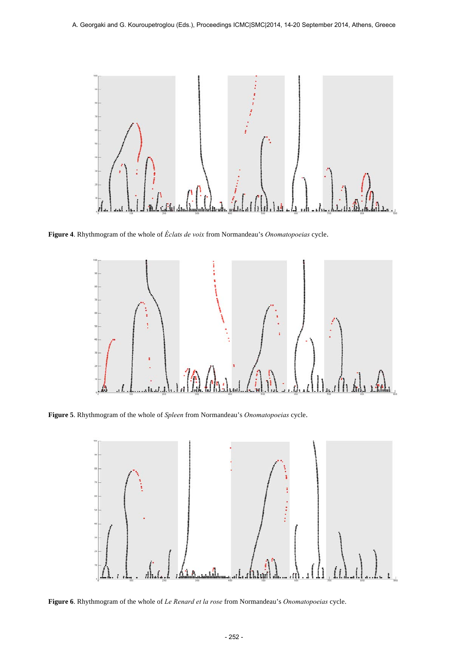

**Figure 4**. Rhythmogram of the whole of *Éclats de voix* from Normandeau's *Onomatopoeias* cycle.



**Figure 5**. Rhythmogram of the whole of *Spleen* from Normandeau's *Onomatopoeias* cycle.



**Figure 6**. Rhythmogram of the whole of *Le Renard et la rose* from Normandeau's *Onomatopoeias* cycle.